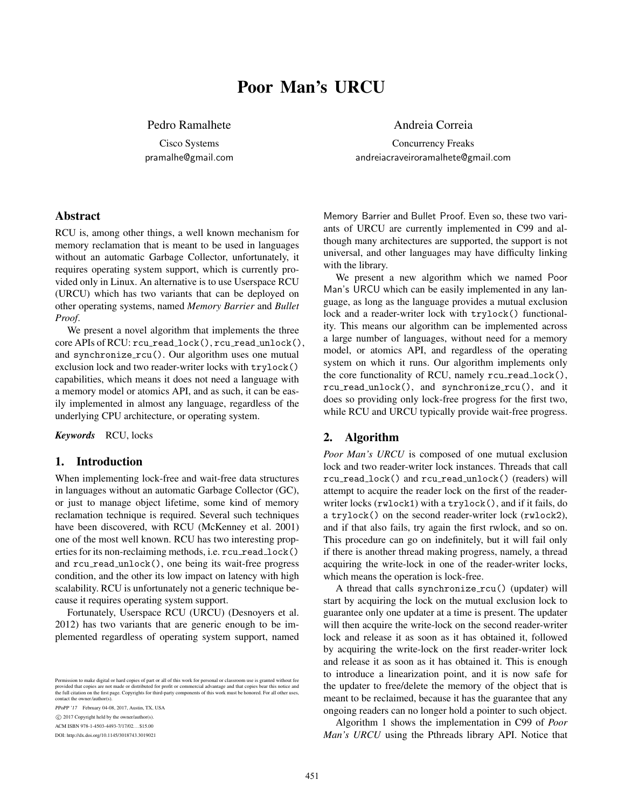# Poor Man's URCU

Pedro Ramalhete

Cisco Systems pramalhe@gmail.com

### Abstract

RCU is, among other things, a well known mechanism for memory reclamation that is meant to be used in languages without an automatic Garbage Collector, unfortunately, it requires operating system support, which is currently provided only in Linux. An alternative is to use Userspace RCU (URCU) which has two variants that can be deployed on other operating systems, named *Memory Barrier* and *Bullet Proof*.

We present a novel algorithm that implements the three core APIs of RCU: rcu\_read\_lock(), rcu\_read\_unlock(), and synchronize  $rcu()$ . Our algorithm uses one mutual exclusion lock and two reader-writer locks with trylock() capabilities, which means it does not need a language with a memory model or atomics API, and as such, it can be easily implemented in almost any language, regardless of the underlying CPU architecture, or operating system.

*Keywords* RCU, locks

## 1. Introduction

When implementing lock-free and wait-free data structures in languages without an automatic Garbage Collector (GC), or just to manage object lifetime, some kind of memory reclamation technique is required. Several such techniques have been discovered, with RCU (McKenney et al. 2001) one of the most well known. RCU has two interesting properties for its non-reclaiming methods, i.e. rcu\_read\_lock() and rcu read unlock(), one being its wait-free progress condition, and the other its low impact on latency with high scalability. RCU is unfortunately not a generic technique because it requires operating system support.

Fortunately, Userspace RCU (URCU) (Desnoyers et al. 2012) has two variants that are generic enough to be implemented regardless of operating system support, named

Permission to make digital or hard copies of part or all of this work for personal or classroom use is granted without fee<br>provided that copies are not made or distributed for profit or commercial advantage and that copies the full citation on the first page. Copyrights for third-party components of this work must be honored. For all other uses, contact the owner/author(s).

PPoPP '17 February 04-08, 2017, Austin, TX, USA

c 2017 Copyright held by the owner/author(s).

ACM ISBN 978-1-4503-4493-7/17/02. . . \$15.00

DOI: http://dx.doi.org/10.1145/3018743.3019021

Andreia Correia

Concurrency Freaks andreiacraveiroramalhete@gmail.com

Memory Barrier and Bullet Proof. Even so, these two variants of URCU are currently implemented in C99 and although many architectures are supported, the support is not universal, and other languages may have difficulty linking with the library.

We present a new algorithm which we named Poor Man's URCU which can be easily implemented in any language, as long as the language provides a mutual exclusion lock and a reader-writer lock with trylock() functionality. This means our algorithm can be implemented across a large number of languages, without need for a memory model, or atomics API, and regardless of the operating system on which it runs. Our algorithm implements only the core functionality of RCU, namely rcu\_read\_lock(), rcu\_read\_unlock(), and synchronize\_rcu(), and it does so providing only lock-free progress for the first two, while RCU and URCU typically provide wait-free progress.

#### 2. Algorithm

*Poor Man's URCU* is composed of one mutual exclusion lock and two reader-writer lock instances. Threads that call rcu read lock() and rcu read unlock() (readers) will attempt to acquire the reader lock on the first of the readerwriter locks (rwlock1) with a trylock(), and if it fails, do a trylock() on the second reader-writer lock (rwlock2), and if that also fails, try again the first rwlock, and so on. This procedure can go on indefinitely, but it will fail only if there is another thread making progress, namely, a thread acquiring the write-lock in one of the reader-writer locks, which means the operation is lock-free.

A thread that calls synchronize rcu() (updater) will start by acquiring the lock on the mutual exclusion lock to guarantee only one updater at a time is present. The updater will then acquire the write-lock on the second reader-writer lock and release it as soon as it has obtained it, followed by acquiring the write-lock on the first reader-writer lock and release it as soon as it has obtained it. This is enough to introduce a linearization point, and it is now safe for the updater to free/delete the memory of the object that is meant to be reclaimed, because it has the guarantee that any ongoing readers can no longer hold a pointer to such object.

Algorithm 1 shows the implementation in C99 of *Poor Man's URCU* using the Pthreads library API. Notice that